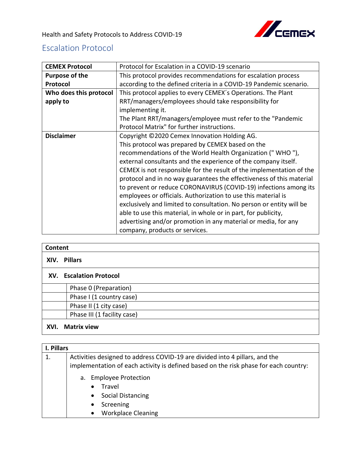

## Escalation Protocol

| <b>CEMEX Protocol</b>                                             | Protocol for Escalation in a COVID-19 scenario                       |  |  |  |
|-------------------------------------------------------------------|----------------------------------------------------------------------|--|--|--|
| <b>Purpose of the</b>                                             | This protocol provides recommendations for escalation process        |  |  |  |
| Protocol                                                          | according to the defined criteria in a COVID-19 Pandemic scenario.   |  |  |  |
| Who does this protocol                                            | This protocol applies to every CEMEX's Operations. The Plant         |  |  |  |
| apply to                                                          | RRT/managers/employees should take responsibility for                |  |  |  |
|                                                                   | implementing it.                                                     |  |  |  |
|                                                                   | The Plant RRT/managers/employee must refer to the "Pandemic"         |  |  |  |
|                                                                   | Protocol Matrix" for further instructions.                           |  |  |  |
| <b>Disclaimer</b><br>Copyright ©2020 Cemex Innovation Holding AG. |                                                                      |  |  |  |
|                                                                   | This protocol was prepared by CEMEX based on the                     |  |  |  |
|                                                                   | recommendations of the World Health Organization ("WHO"),            |  |  |  |
|                                                                   | external consultants and the experience of the company itself.       |  |  |  |
|                                                                   | CEMEX is not responsible for the result of the implementation of the |  |  |  |
|                                                                   | protocol and in no way guarantees the effectiveness of this material |  |  |  |
|                                                                   | to prevent or reduce CORONAVIRUS (COVID-19) infections among its     |  |  |  |
|                                                                   | employees or officials. Authorization to use this material is        |  |  |  |
|                                                                   | exclusively and limited to consultation. No person or entity will be |  |  |  |
|                                                                   | able to use this material, in whole or in part, for publicity,       |  |  |  |
|                                                                   | advertising and/or promotion in any material or media, for any       |  |  |  |
|                                                                   | company, products or services.                                       |  |  |  |

|      | Content                     |  |  |  |
|------|-----------------------------|--|--|--|
|      | XIV. Pillars                |  |  |  |
|      | XV. Escalation Protocol     |  |  |  |
|      | Phase 0 (Preparation)       |  |  |  |
|      | Phase I (1 country case)    |  |  |  |
|      | Phase II (1 city case)      |  |  |  |
|      | Phase III (1 facility case) |  |  |  |
| XVI. | <b>Matrix view</b>          |  |  |  |

|    | I. Pillars                                                                                                                                                          |  |  |  |  |
|----|---------------------------------------------------------------------------------------------------------------------------------------------------------------------|--|--|--|--|
| 1. | Activities designed to address COVID-19 are divided into 4 pillars, and the<br>implementation of each activity is defined based on the risk phase for each country: |  |  |  |  |
|    | <b>Employee Protection</b><br>a.<br>Travel<br>$\bullet$                                                                                                             |  |  |  |  |
|    | Social Distancing<br>$\bullet$                                                                                                                                      |  |  |  |  |
|    | Screening                                                                                                                                                           |  |  |  |  |
|    | <b>Workplace Cleaning</b>                                                                                                                                           |  |  |  |  |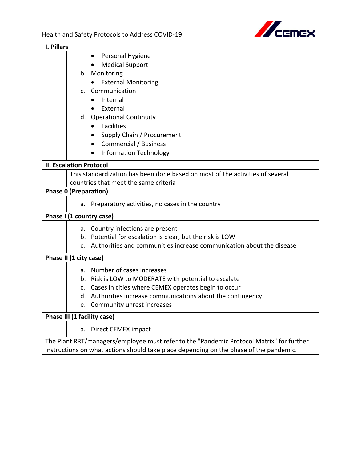

| I. Pillars                                                                               |  |  |  |  |
|------------------------------------------------------------------------------------------|--|--|--|--|
| Personal Hygiene<br>$\bullet$                                                            |  |  |  |  |
| <b>Medical Support</b>                                                                   |  |  |  |  |
| b. Monitoring                                                                            |  |  |  |  |
| <b>External Monitoring</b>                                                               |  |  |  |  |
| Communication<br>C.                                                                      |  |  |  |  |
| Internal                                                                                 |  |  |  |  |
| External                                                                                 |  |  |  |  |
| d. Operational Continuity                                                                |  |  |  |  |
| <b>Facilities</b><br>$\bullet$                                                           |  |  |  |  |
| Supply Chain / Procurement                                                               |  |  |  |  |
| <b>Commercial / Business</b>                                                             |  |  |  |  |
| <b>Information Technology</b>                                                            |  |  |  |  |
|                                                                                          |  |  |  |  |
| <b>II. Escalation Protocol</b>                                                           |  |  |  |  |
| This standardization has been done based on most of the activities of several            |  |  |  |  |
| countries that meet the same criteria                                                    |  |  |  |  |
| <b>Phase 0 (Preparation)</b>                                                             |  |  |  |  |
| Preparatory activities, no cases in the country<br>a.                                    |  |  |  |  |
| Phase I (1 country case)                                                                 |  |  |  |  |
| a. Country infections are present                                                        |  |  |  |  |
| b. Potential for escalation is clear, but the risk is LOW                                |  |  |  |  |
| Authorities and communities increase communication about the disease<br>$\mathsf{C}$ .   |  |  |  |  |
|                                                                                          |  |  |  |  |
| Phase II (1 city case)                                                                   |  |  |  |  |
| a. Number of cases increases                                                             |  |  |  |  |
| b. Risk is LOW to MODERATE with potential to escalate                                    |  |  |  |  |
| c. Cases in cities where CEMEX operates begin to occur                                   |  |  |  |  |
| d. Authorities increase communications about the contingency                             |  |  |  |  |
| Community unrest increases                                                               |  |  |  |  |
| Phase III (1 facility case)                                                              |  |  |  |  |
| Direct CEMEX impact<br>a.                                                                |  |  |  |  |
| The Plant RRT/managers/employee must refer to the "Pandemic Protocol Matrix" for further |  |  |  |  |
| instructions on what actions should take place depending on the phase of the pandemic.   |  |  |  |  |